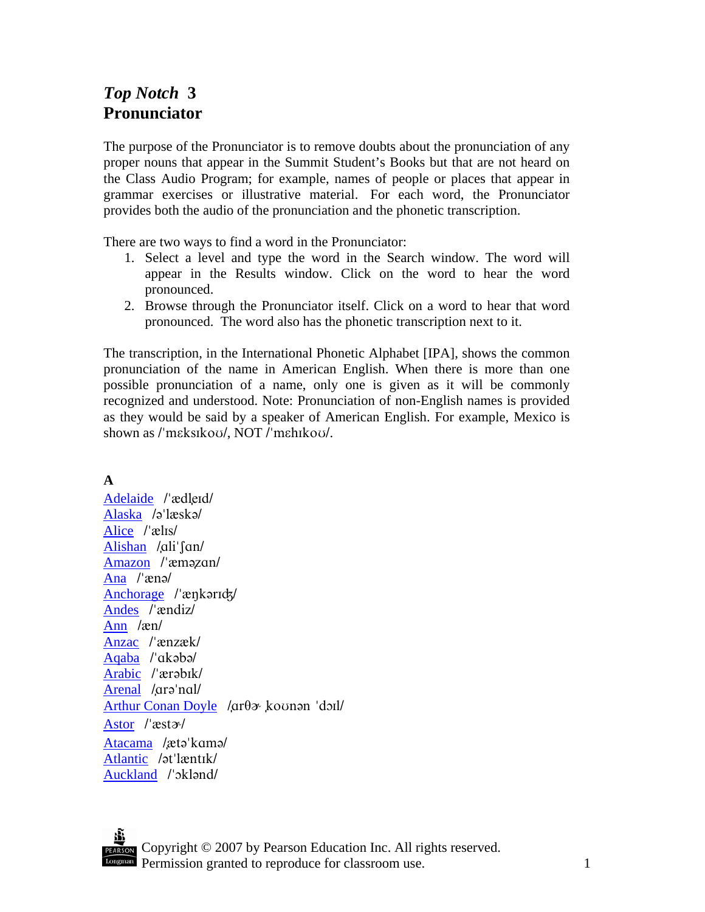# *Top Notch* **3 Pronunciator**

The purpose of the Pronunciator is to remove doubts about the pronunciation of any proper nouns that appear in the Summit Student's Books but that are not heard on the Class Audio Program; for example, names of people or places that appear in grammar exercises or illustrative material. For each word, the Pronunciator provides both the audio of the pronunciation and the phonetic transcription.

There are two ways to find a word in the Pronunciator:

- 1. Select a level and type the word in the Search window. The word will appear in the Results window. Click on the word to hear the word pronounced.
- 2. Browse through the Pronunciator itself. Click on a word to hear that word pronounced. The word also has the phonetic transcription next to it.

The transcription, in the International Phonetic Alphabet [IPA], shows the common pronunciation of the name in American English. When there is more than one possible pronunciation of a name, only one is given as it will be commonly recognized and understood. Note: Pronunciation of non-English names is provided as they would be said by a speaker of American English. For example, Mexico is shown as /'meksikou/, NOT /'mehikou/.

# **A**

[Adelaide](http://www.tnpronunciator.com/index.php?level=3&word=Adelaide&tnp_submit=Search) /'ædleid/ [Alaska](http://www.tnpronunciator.com/index.php?level=3&word=Alaska&tnp_submit=Search) /əˈlæskə/ [Alice](http://www.tnpronunciator.com/index.php?level=3&word=Alice&tnp_submit=Search) /"&lIs/ [Alishan](http://www.tnpronunciator.com/index.php?level=3&word=Alishan&tnp_submit=Search) / ali 'fan/ [Amazon](http://www.tnpronunciator.com/index.php?level=3&word=Amazon&tnp_submit=Search) /'æməzan/ [Ana](http://www.tnpronunciator.com/index.php?level=3&word=Ana&tnp_submit=Search) /'ænə/ [Anchorage](http://www.tnpronunciator.com/index.php?level=3&word=Anchorage&tnp_submit=Search) /'ænkərIck/ [Andes](http://www.tnpronunciator.com/index.php?level=3&word=Andes&tnp_submit=Search) /"&ndiz/ [Ann](http://www.tnpronunciator.com/index.php?level=3&word=Ann&tnp_submit=Search) /&n/ [Anzac](http://www.tnpronunciator.com/index.php?level=3&word=Anzac&tnp_submit=Search) /'ænzæk/ [Aqaba](http://www.tnpronunciator.com/index.php?level=3&word=Aqaba&tnp_submit=Search) /'akəbə/ [Arabic](http://www.tnpronunciator.com/index.php?level=3&word=Arabic&tnp_submit=Search) /'ærəbik/ [Arenal](http://www.tnpronunciator.com/index.php?level=3&word=Arenal&tnp_submit=Search) / ara 'nal/ [Arthur Conan Doyle](http://www.tnpronunciator.com/index.php?level=3&word=Arthur%20Conan%20Doyle&tnp_submit=Search) / αrθα kounan 'doil/ [Astor](http://www.tnpronunciator.com/index.php?level=3&word=Astor&tnp_submit=Search) /'æst $\alpha$ / [Atacama](http://www.tnpronunciator.com/index.php?level=3&word=Atacama&tnp_submit=Search) /ætə kamə/ [Atlantic](http://www.tnpronunciator.com/index.php?level=3&word=Atlantic&tnp_submit=Search) /ət<sup>'</sup>læntık/ [Auckland](http://www.tnpronunciator.com/index.php?level=3&word=Auckland&tnp_submit=Search) /'okland/

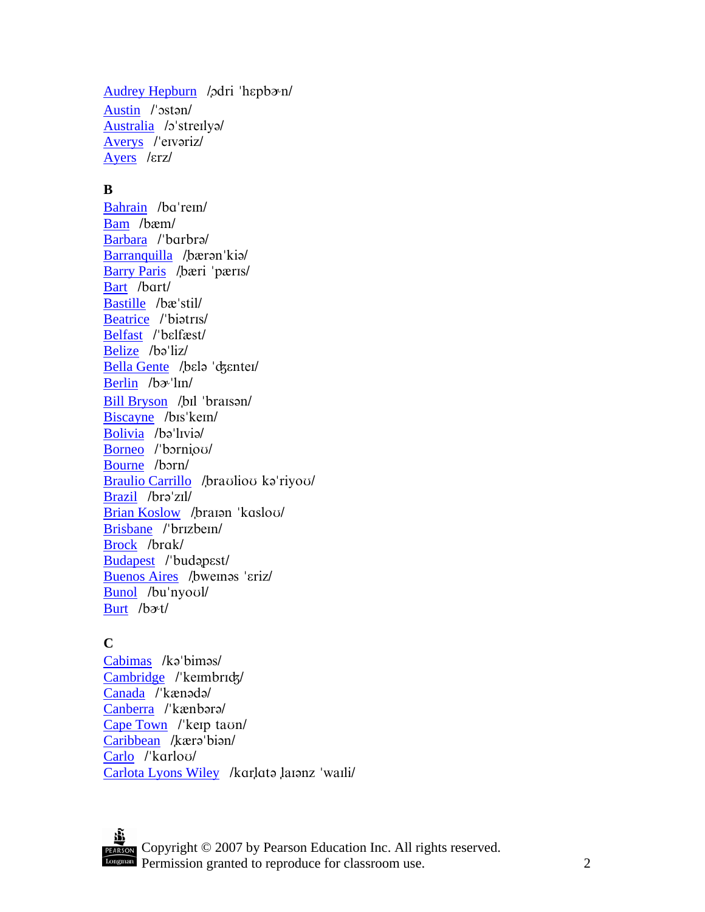[Audrey Hepburn](http://www.tnpronunciator.com/index.php?level=3&word=Audrey%20Hepburn&tnp_submit=Search) / odri 'hepban/ [Austin](http://www.tnpronunciator.com/index.php?level=3&word=Austin&tnp_submit=Search) /'ostan/ [Australia](http://www.tnpronunciator.com/index.php?level=3&word=Australia&tnp_submit=Search) /ɔ'streilyə/ [Averys](http://www.tnpronunciator.com/index.php?level=3&word=Averys&tnp_submit=Search) /'eivariz/ [Ayers](http://www.tnpronunciator.com/index.php?level=3&word=Ayers&tnp_submit=Search) /Erz/

## **B**

[Bahrain](http://www.tnpronunciator.com/index.php?level=3&word=Bahrain&tnp_submit=Search) /ba'rein/ [Bam](http://www.tnpronunciator.com/index.php?level=3&word=Bam&tnp_submit=Search) /bæm/ [Barbara](http://www.tnpronunciator.com/index.php?level=3&word=Barbara&tnp_submit=Search) /'barbrə/ [Barranquilla](http://www.tnpronunciator.com/index.php?level=3&word=Barranquilla&tnp_submit=Search) /bærən kiə/ [Barry Paris](http://www.tnpronunciator.com/index.php?level=3&word=Barry%20Paris&tnp_submit=Search) / bæri 'pæris/ [Bart](http://www.tnpronunciator.com/index.php?level=3&word=Bart&tnp_submit=Search) /bart/ [Bastille](http://www.tnpronunciator.com/index.php?level=3&word=Bastille&tnp_submit=Search) /bæ'stil/ [Beatrice](http://www.tnpronunciator.com/index.php?level=3&word=Beatrice&tnp_submit=Search) /'biatris/ [Belfast](http://www.tnpronunciator.com/index.php?level=3&word=Belfast&tnp_submit=Search) /'belfæst/ [Belize](http://www.tnpronunciator.com/index.php?level=3&word=Belize&tnp_submit=Search) /bə'liz/ [Bella Gente](http://www.tnpronunciator.com/index.php?level=3&word=Bella%20Gente&tnp_submit=Search) /belə 'ckentei/ [Berlin](http://www.tnpronunciator.com/index.php?level=3&word=Berlin&tnp_submit=Search) /b*a*<sup>t</sup>lin/ [Bill Bryson](http://www.tnpronunciator.com/index.php?level=3&word=Bill%20Bryson&tnp_submit=Search) /bil 'braisən/ [Biscayne](http://www.tnpronunciator.com/index.php?level=3&word=Biscayne&tnp_submit=Search) /bis'kein/ [Bolivia](http://www.tnpronunciator.com/index.php?level=3&word=Bolivia&tnp_submit=Search) /ba'lıvia/ [Borneo](http://www.tnpronunciator.com/index.php?level=3&word=Borneo&tnp_submit=Search) /'borniou/ [Bourne](http://www.tnpronunciator.com/index.php?level=3&word=Bourne&tnp_submit=Search) /born/ [Braulio Carrillo](http://www.tnpronunciator.com/index.php?level=3&word=Braulio%20Carrillo&tnp_submit=Search) / brauliou ka' riyou/ [Brazil](http://www.tnpronunciator.com/index.php?level=3&word=Brazil&tnp_submit=Search) /brə'zıl/ [Brian Koslow](http://www.tnpronunciator.com/index.php?level=3&word=Brian%20Koslow&tnp_submit=Search) /braian 'kaslou/ [Brisbane](http://www.tnpronunciator.com/index.php?level=3&word=Brisbane&tnp_submit=Search) /'brizbein/ [Brock](http://www.tnpronunciator.com/index.php?level=3&word=Brock&tnp_submit=Search) /brak/ [Budapest](http://www.tnpronunciator.com/index.php?level=3&word=Budapest&tnp_submit=Search) /'budapest/ [Buenos Aires](http://www.tnpronunciator.com/index.php?level=3&word=Buenos%20Aires&tnp_submit=Search) / bweinas 'eriz/ [Bunol](http://www.tnpronunciator.com/index.php?level=3&word=Bunol&tnp_submit=Search) /bu'nyoul/ [Burt](http://www.tnpronunciator.com/index.php?level=3&word=Burt&tnp_submit=Search) /b*a*t/

### **C**

[Cabimas](http://www.tnpronunciator.com/index.php?level=3&word=Cabimas&tnp_submit=Search) /ka'bimas/ [Cambridge](http://www.tnpronunciator.com/index.php?level=3&word=Cambridge&tnp_submit=Search) /'keimbridz/ [Canada](http://www.tnpronunciator.com/index.php?level=3&word=Canada&tnp_submit=Search) /'kænada/ [Canberra](http://www.tnpronunciator.com/index.php?level=3&word=Canberra&tnp_submit=Search) /'kænbərə/ [Cape Town](http://www.tnpronunciator.com/index.php?level=3&word=Cape%20Town&tnp_submit=Search) /'keip taun/ [Caribbean](http://www.tnpronunciator.com/index.php?level=3&word=Caribbean&tnp_submit=Search) /kæra'bian/ [Carlo](http://www.tnpronunciator.com/index.php?level=3&word=Carlo&tnp_submit=Search) /'karlou/ [Carlota Lyons Wiley](http://www.tnpronunciator.com/index.php?level=3&word=Carlota%20Lyons%20Wiley&tnp_submit=Search) /karlata laranz 'waili/

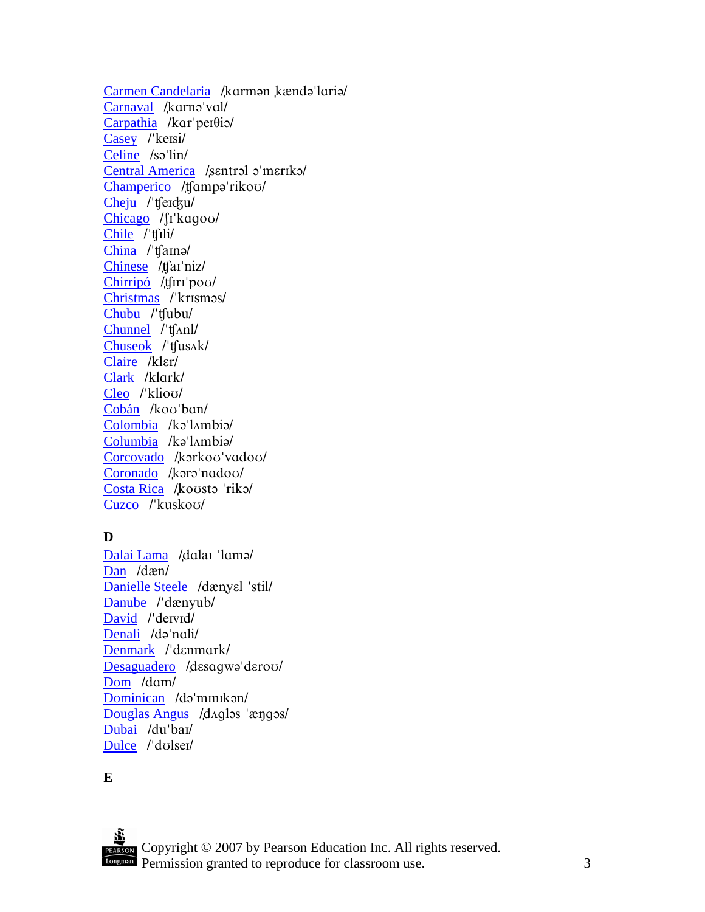[Carmen Candelaria](http://www.tnpronunciator.com/index.php?level=3&word=Carmen%20Candelaria&tnp_submit=Search) / karman kænda laria/ [Carnaval](http://www.tnpronunciator.com/index.php?level=3&word=Carnaval&tnp_submit=Search) /karna'val/  $Carpathia$  /kar'per $\theta$ ia/ [Casey](http://www.tnpronunciator.com/index.php?level=3&word=Casey&tnp_submit=Search) /'keisi/ [Celine](http://www.tnpronunciator.com/index.php?level=3&word=Celine&tnp_submit=Search) /sa'lin/ [Central America](http://www.tnpronunciator.com/index.php?level=3&word=Central%20America&tnp_submit=Search) / sentral a merika [Champerico](http://www.tnpronunciator.com/index.php?level=3&word=Champerico&tnp_submit=Search) /tfampa'rikou/ [Cheju](http://www.tnpronunciator.com/index.php?level=3&word=Cheju&tnp_submit=Search) /'tferdzu/ [Chicago](http://www.tnpronunciator.com/index.php?level=3&word=Chicago&tnp_submit=Search) /fi'kagou/ [Chile](http://www.tnpronunciator.com/index.php?level=3&word=Chile&tnp_submit=Search) /'tfili/ [China](http://www.tnpronunciator.com/index.php?level=3&word=China&tnp_submit=Search) /'tfama/ [Chinese](http://www.tnpronunciator.com/index.php?level=3&word=Chinese&tnp_submit=Search) /tfar'niz/ [Chirripó](http://www.tnpronunciator.com/index.php?level=3&word=Chirripo&tnp_submit=Search) /tfirr<sup>'</sup>pou/ [Christmas](http://www.tnpronunciator.com/index.php?level=3&word=Christmas&tnp_submit=Search) /'krIsmas/ [Chubu](http://www.tnpronunciator.com/index.php?level=3&word=Chubu&tnp_submit=Search) /'tfubu/ [Chunnel](http://www.tnpronunciator.com/index.php?level=3&word=Chunnel&tnp_submit=Search) /'tfanl/ [Chuseok](http://www.tnpronunciator.com/index.php?level=3&word=Chuseok&tnp_submit=Search) /'tfusAk/ [Claire](http://www.tnpronunciator.com/index.php?level=3&word=Claire&tnp_submit=Search) /klɛr/ [Clark](http://www.tnpronunciator.com/index.php?level=3&word=Clark&tnp_submit=Search) /klark/ [Cleo](http://www.tnpronunciator.com/index.php?level=3&word=Cleo&tnp_submit=Search) /'kliou/ [Cobán](http://www.tnpronunciator.com/index.php?level=3&word=Coban&tnp_submit=Search) /koʊ'ban/ [Colombia](http://www.tnpronunciator.com/index.php?level=3&word=Colombia&tnp_submit=Search) /ka'lambia/ [Columbia](http://www.tnpronunciator.com/index.php?level=3&word=Columbia&tnp_submit=Search) /ka'lAmbia/ [Corcovado](http://www.tnpronunciator.com/index.php?level=3&word=Corcovado&tnp_submit=Search) /korkou'vadou/ [Coronado](http://www.tnpronunciator.com/index.php?level=3&word=Coronado&tnp_submit=Search) /kora'nadou/  $Costa Rica$  / kousta 'rika [Cuzco](http://www.tnpronunciator.com/index.php?level=3&word=Cuzco&tnp_submit=Search) /'kuskou/

### **D**

[Dalai Lama](http://www.tnpronunciator.com/index.php?level=3&word=Dalai%20Lama&tnp_submit=Search) /dalaI 'lama/ [Dan](http://www.tnpronunciator.com/index.php?level=3&word=Dan&tnp_submit=Search) /dæn/ [Danielle Steele](http://www.tnpronunciator.com/index.php?level=3&word=Danielle%20Steele&tnp_submit=Search) /dænyɛl 'stil/ [Danube](http://www.tnpronunciator.com/index.php?level=3&word=Danube&tnp_submit=Search) /'dænyub/ [David](http://www.tnpronunciator.com/index.php?level=3&word=David&tnp_submit=Search) /'deIvId/ [Denali](http://www.tnpronunciator.com/index.php?level=3&word=Denali&tnp_submit=Search) /də'nali/ [Denmark](http://www.tnpronunciator.com/index.php?level=3&word=Denmark&tnp_submit=Search) /'denmark/ [Desaguadero](http://www.tnpronunciator.com/index.php?level=3&word=Desaguadero&tnp_submit=Search) / desagwa derou/ [Dom](http://www.tnpronunciator.com/index.php?level=3&word=Dom&tnp_submit=Search) /dam/ [Dominican](http://www.tnpronunciator.com/index.php?level=3&word=Dominican&tnp_submit=Search) /də'mınıkən/ [Douglas Angus](http://www.tnpronunciator.com/index.php?level=3&word=Douglas%20Angus&tnp_submit=Search) /daglas 'ængas/ [Dubai](http://www.tnpronunciator.com/index.php?level=3&word=Dubai&tnp_submit=Search) /du"baI/ [Dulce](http://www.tnpronunciator.com/index.php?level=3&word=Dulce&tnp_submit=Search) /'dolsei/

### **E**

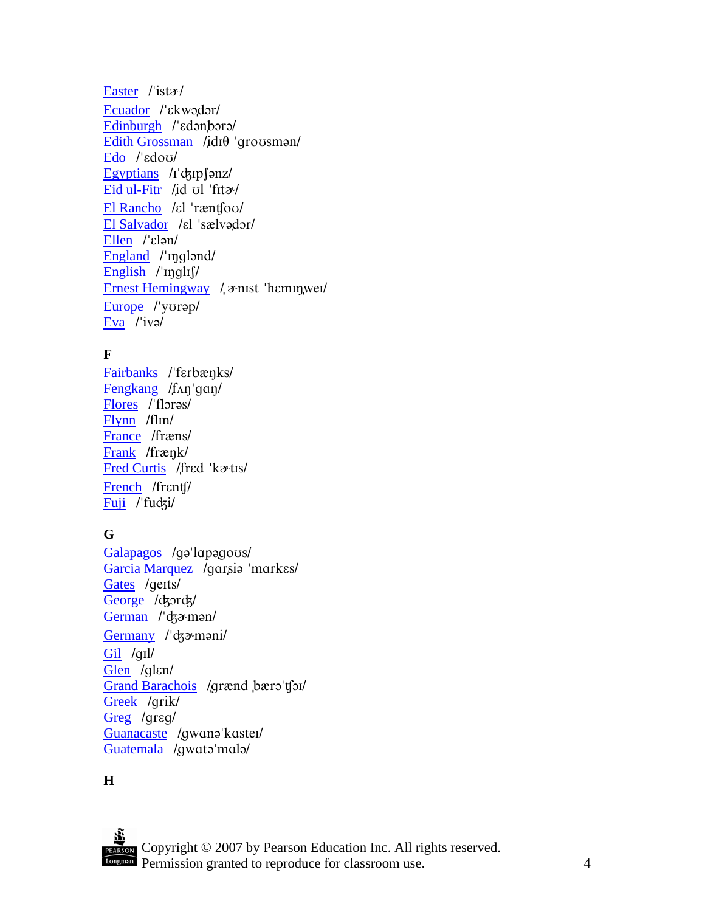#### [Easter](http://www.tnpronunciator.com/index.php?level=3&word=Easter&tnp_submit=Search) /'istav/

[Ecuador](http://www.tnpronunciator.com/index.php?level=3&word=Ecuador&tnp_submit=Search) /'ɛkwədor/ [Edinburgh](http://www.tnpronunciator.com/index.php?level=3&word=Edinburgh&tnp_submit=Search) /'*Edanbara*/ [Edith Grossman](http://www.tnpronunciator.com/index.php?level=3&word=Edith%20Grossman&tnp_submit=Search) / $idI\theta$  'grousman/ [Edo](http://www.tnpronunciator.com/index.php?level=3&word=Edo&tnp_submit=Search) /'*Edou*/ [Egyptians](http://www.tnpronunciator.com/index.php?level=3&word=Egyptians&tnp_submit=Search)  $/i'$ dzip $\int$ ənz $\ell$ [Eid ul-Fitr](http://www.tnpronunciator.com/index.php?level=3&word=Eid%20ul-Fitr&tnp_submit=Search) /id ul 'fita/ [El Rancho](http://www.tnpronunciator.com/index.php?level=3&word=El%20Rancho&tnp_submit=Search) / el 'ræntfou/ [El Salvador](http://www.tnpronunciator.com/index.php?level=3&word=El%20Salvador&tnp_submit=Search) / el 'sælvədər/ [Ellen](http://www.tnpronunciator.com/index.php?level=3&word=Ellen&tnp_submit=Search) /'ɛlən/ [England](http://www.tnpronunciator.com/index.php?level=3&word=England&tnp_submit=Search) /'Ingland/ [English](http://www.tnpronunciator.com/index.php?level=3&word=English&tnp_submit=Search)  $\frac{1}{2}$  /'inglish [Ernest Hemingway](http://www.tnpronunciator.com/index.php?level=3&word=Ernest%20Hemingway&tnp_submit=Search) / anist 'heminwei/ [Europe](http://www.tnpronunciator.com/index.php?level=3&word=Europe&tnp_submit=Search) /'yorap/ [Eva](http://www.tnpronunciator.com/index.php?level=3&word=Eva&tnp_submit=Search) /'ivə/

# **F**

[Fairbanks](http://www.tnpronunciator.com/index.php?level=3&word=Fairbanks&tnp_submit=Search) /'ferbænks/ [Fengkang](http://www.tnpronunciator.com/index.php?level=3&word=Fengkang&tnp_submit=Search)  $/f \land \eta'$ gan [Flores](http://www.tnpronunciator.com/index.php?level=3&word=Flores&tnp_submit=Search) /'floras/ [Flynn](http://www.tnpronunciator.com/index.php?level=3&word=Flynn&tnp_submit=Search) /fl<sub>In</sub>/ [France](http://www.tnpronunciator.com/index.php?level=3&word=France&tnp_submit=Search) /fræns/ [Frank](http://www.tnpronunciator.com/index.php?level=3&word=Frank&tnp_submit=Search) /frænk/ [Fred Curtis](http://www.tnpronunciator.com/index.php?level=3&word=Fred%20Curtis&tnp_submit=Search) /fred 'katis/ [French](http://www.tnpronunciator.com/index.php?level=3&word=French&tnp_submit=Search) /frentf/ [Fuji](http://www.tnpronunciator.com/index.php?level=3&word=Fuji&tnp_submit=Search) /'fudzi/

### **G**

[Galapagos](http://www.tnpronunciator.com/index.php?level=3&word=Galapagos&tnp_submit=Search) /gə'lapəgous/ [Garcia Marquez](http://www.tnpronunciator.com/index.php?level=3&word=Garcia%20Marquez&tnp_submit=Search) /garsia 'markes/ [Gates](http://www.tnpronunciator.com/index.php?level=3&word=Gates&tnp_submit=Search) /gerts/ [George](http://www.tnpronunciator.com/index.php?level=3&word=George&tnp_submit=Search) /dzordz/  $German$  /  $d3$ man/ [Germany](http://www.tnpronunciator.com/index.php?level=3&word=Germany&tnp_submit=Search) /'dzamoni/ [Gil](http://www.tnpronunciator.com/index.php?level=3&word=Gil&tnp_submit=Search) /gIl/ [Glen](http://www.tnpronunciator.com/index.php?level=3&word=Glen&tnp_submit=Search) /glen/ [Grand Barachois](http://www.tnpronunciator.com/index.php?level=3&word=Grand%20Barachois&tnp_submit=Search) / grænd bærə 'tfol [Greek](http://www.tnpronunciator.com/index.php?level=3&word=Greek&tnp_submit=Search) /grik/ [Greg](http://www.tnpronunciator.com/index.php?level=3&word=Greg&tnp_submit=Search) /greg/ [Guanacaste](http://www.tnpronunciator.com/index.php?level=3&word=Guanacaste&tnp_submit=Search) /gwana'kastei/ [Guatemala](http://www.tnpronunciator.com/index.php?level=3&word=Guatemala&tnp_submit=Search) /gwata'mala/

### **H**

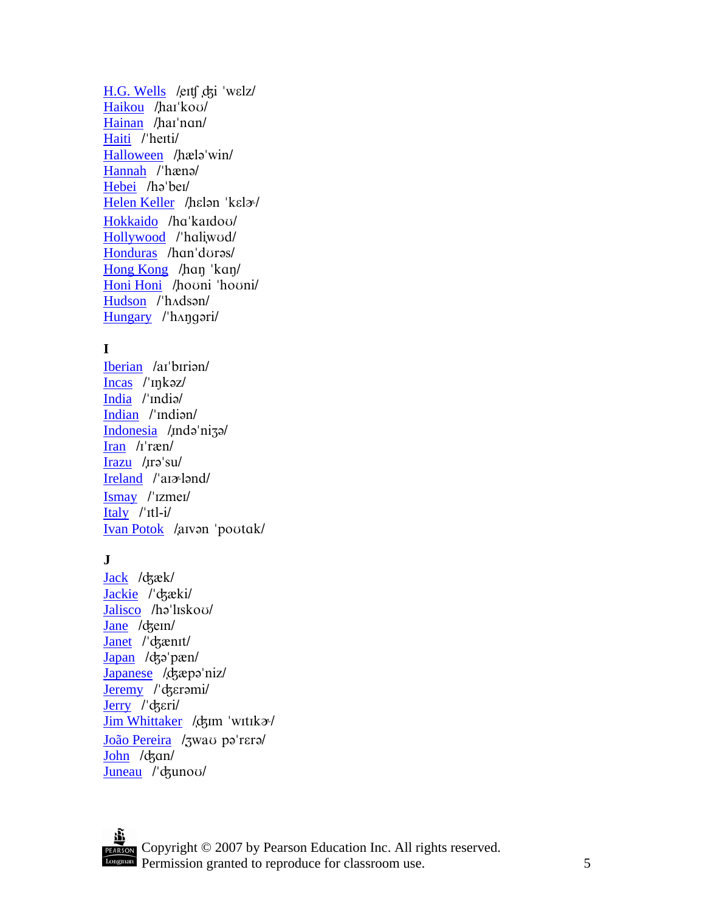$H.G.$  Wells /eit $\int$  dzi 'welz/ [Haikou](http://www.tnpronunciator.com/index.php?level=3&word=Haikou&tnp_submit=Search) /hai'kou/ [Hainan](http://www.tnpronunciator.com/index.php?level=3&word=Hainan&tnp_submit=Search) /hai'nan/ [Haiti](http://www.tnpronunciator.com/index.php?level=3&word=Haiti&tnp_submit=Search) /'heiti/ [Halloween](http://www.tnpronunciator.com/index.php?level=3&word=Halloween&tnp_submit=Search) /hælə'win/ [Hannah](http://www.tnpronunciator.com/index.php?level=3&word=Hannah&tnp_submit=Search) /'hænə/ [Hebei](http://www.tnpronunciator.com/index.php?level=3&word=Hebei&tnp_submit=Search) /ha'bei/ [Helen Keller](http://www.tnpronunciator.com/index.php?level=3&word=Helen%20Keller&tnp_submit=Search) /hɛlən 'kɛləv/ [Hokkaido](http://www.tnpronunciator.com/index.php?level=3&word=Hokkaido&tnp_submit=Search) /ha'kaidou/ [Hollywood](http://www.tnpronunciator.com/index.php?level=3&word=Hollywood&tnp_submit=Search) /'haliwud/ [Honduras](http://www.tnpronunciator.com/index.php?level=3&word=Honduras&tnp_submit=Search) /han'durəs/ [Hong Kong](http://www.tnpronunciator.com/index.php?level=3&word=Hong%20Kong&tnp_submit=Search) /han 'kan/ [Honi Honi](http://www.tnpronunciator.com/index.php?level=3&word=Honi%20Honi&tnp_submit=Search) /houni 'houni/ [Hudson](http://www.tnpronunciator.com/index.php?level=3&word=Hudson&tnp_submit=Search) /'hAdson/ [Hungary](http://www.tnpronunciator.com/index.php?level=3&word=Hungary&tnp_submit=Search) /'hangari/

# **I**

[Iberian](http://www.tnpronunciator.com/index.php?level=3&word=Iberian&tnp_submit=Search) /ai'biriən/ [Incas](http://www.tnpronunciator.com/index.php?level=3&word=Incas&tnp_submit=Search) /'<sub>Ink</sub>az/ [India](http://www.tnpronunciator.com/index.php?level=3&word=India&tnp_submit=Search) /'India/ [Indian](http://www.tnpronunciator.com/index.php?level=3&word=Indian&tnp_submit=Search) /'Indian/ [Indonesia](http://www.tnpronunciator.com/index.php?level=3&word=Indonesia&tnp_submit=Search) /*Indo* nizo/ [Iran](http://www.tnpronunciator.com/index.php?level=3&word=Iran&tnp_submit=Search) /I"r&n/ [Irazu](http://www.tnpronunciator.com/index.php?level=3&word=Irazu&tnp_submit=Search) /*Ira'su/* [Ireland](http://www.tnpronunciator.com/index.php?level=3&word=Ireland&tnp_submit=Search) /'a<sub>I3</sub> land/ [Ismay](http://www.tnpronunciator.com/index.php?level=3&word=Ismay&tnp_submit=Search) /"IzmeI/ [Italy](http://www.tnpronunciator.com/index.php?level=3&word=Italy&tnp_submit=Search)  $/\int$ <sup>-</sup>Itl-i/ [Ivan Potok](http://www.tnpronunciator.com/index.php?level=3&word=Ivan%20Potok&tnp_submit=Search) /aIvan 'poutak/

# **J**

[Jack](http://www.tnpronunciator.com/index.php?level=3&word=Jack&tnp_submit=Search) /dzæk/ [Jackie](http://www.tnpronunciator.com/index.php?level=3&word=Jackie&tnp_submit=Search) /'dzæki/ [Jalisco](http://www.tnpronunciator.com/index.php?level=3&word=Jalisco&tnp_submit=Search) /ha'lıskov/ [Jane](http://www.tnpronunciator.com/index.php?level=3&word=Jane&tnp_submit=Search) /dzein/ [Janet](http://www.tnpronunciator.com/index.php?level=3&word=Janet&tnp_submit=Search) /'dzænit/  $Japan$  / $d$ zə pæn/ [Japanese](http://www.tnpronunciator.com/index.php?level=3&word=Japanese&tnp_submit=Search) /dzæpa'niz/ [Jeremy](http://www.tnpronunciator.com/index.php?level=3&word=Jeremy&tnp_submit=Search) /'*d*zerami/ [Jerry](http://www.tnpronunciator.com/index.php?level=3&word=Jerry&tnp_submit=Search) /'*dzeri/* [Jim Whittaker](http://www.tnpronunciator.com/index.php?level=3&word=Jim%20Whittaker&tnp_submit=Search) / dzim 'wit ika/ [João Pereira](http://www.tnpronunciator.com/index.php?level=3&word=Joao%20Pereira&tnp_submit=Search) / zwau pa'rera/ [John](http://www.tnpronunciator.com/index.php?level=3&word=John&tnp_submit=Search) /dʒan/ [Juneau](http://www.tnpronunciator.com/index.php?level=3&word=Juneau&tnp_submit=Search) / dzunou/

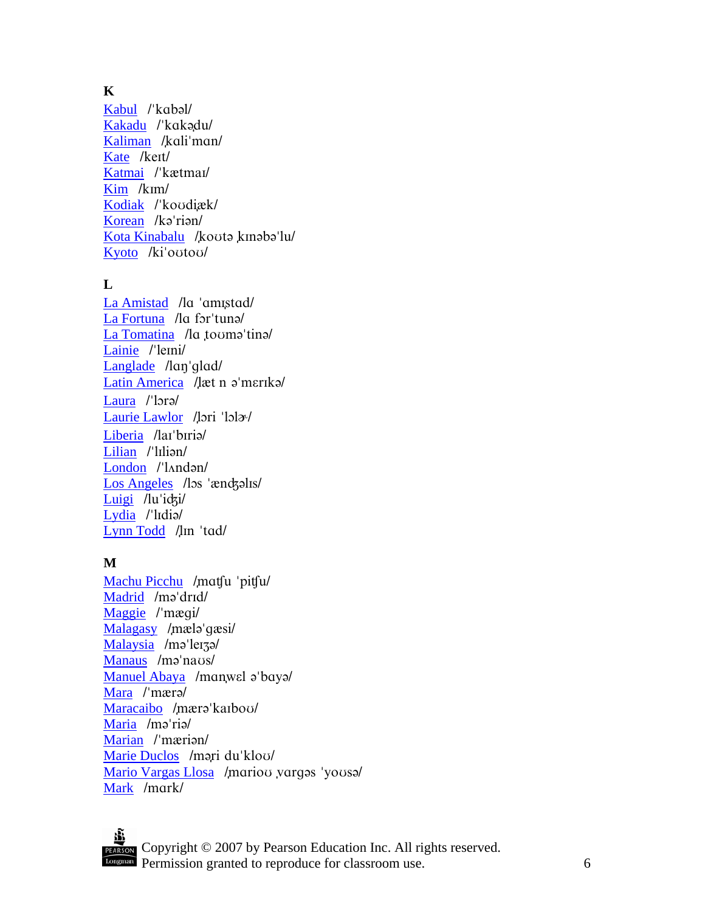### **K**

[Kabul](http://www.tnpronunciator.com/index.php?level=3&word=Kabul&tnp_submit=Search) /'kabal/ [Kakadu](http://www.tnpronunciator.com/index.php?level=3&word=Kakadu&tnp_submit=Search) /'kakadu/ [Kaliman](http://www.tnpronunciator.com/index.php?level=3&word=Kaliman&tnp_submit=Search) /kali'man/ [Kate](http://www.tnpronunciator.com/index.php?level=3&word=Kate&tnp_submit=Search) /keit/ [Katmai](http://www.tnpronunciator.com/index.php?level=3&word=Katmai&tnp_submit=Search) /'kætmai/ [Kim](http://www.tnpronunciator.com/index.php?level=3&word=Kim&tnp_submit=Search) /kIm/ [Kodiak](http://www.tnpronunciator.com/index.php?level=3&word=Kodiak&tnp_submit=Search) /'koudiæk/ [Korean](http://www.tnpronunciator.com/index.php?level=3&word=Korean&tnp_submit=Search) /kə'riən/ [Kota Kinabalu](http://www.tnpronunciator.com/index.php?level=3&word=Kota%20Kinabalu&tnp_submit=Search) / kout akinaba'lu/ [Kyoto](http://www.tnpronunciator.com/index.php?level=3&word=Kyoto&tnp_submit=Search) /ki'outou/

# **L**

[La Amistad](http://www.tnpronunciator.com/index.php?level=3&word=La%20Amistad&tnp_submit=Search) /la 'amistad/ [La Fortuna](http://www.tnpronunciator.com/index.php?level=3&word=La%20Fortuna&tnp_submit=Search)  $\pi$  a for tune [La Tomatina](http://www.tnpronunciator.com/index.php?level=3&word=La%20Tomatina&tnp_submit=Search) /la touma'tina/ [Lainie](http://www.tnpronunciator.com/index.php?level=3&word=Lainie&tnp_submit=Search) /'leini/ [Langlade](http://www.tnpronunciator.com/index.php?level=3&word=Langlade&tnp_submit=Search) /lan'qlad/ [Latin America](http://www.tnpronunciator.com/index.php?level=3&word=Latin%20America&tnp_submit=Search) /læt n a'merika/ [Laura](http://www.tnpronunciator.com/index.php?level=3&word=Laura&tnp_submit=Search) /'lora/ [Laurie Lawlor](http://www.tnpronunciator.com/index.php?level=3&word=Laurie%20Lawlor&tnp_submit=Search) /lori 'lol<sup>3</sup> [Liberia](http://www.tnpronunciator.com/index.php?level=3&word=Liberia&tnp_submit=Search) /lai biria/ [Lilian](http://www.tnpronunciator.com/index.php?level=3&word=Lilian&tnp_submit=Search) /'lilian/ [London](http://www.tnpronunciator.com/index.php?level=3&word=London&tnp_submit=Search) /'landon/ [Los Angeles](http://www.tnpronunciator.com/index.php?level=3&word=Los%20Angeles&tnp_submit=Search) /los 'ændzalis/ [Luigi](http://www.tnpronunciator.com/index.php?level=3&word=Luigi&tnp_submit=Search) /lu'idzi/ [Lydia](http://www.tnpronunciator.com/index.php?level=3&word=Lydia&tnp_submit=Search) /'lɪdiə/ [Lynn Todd](http://www.tnpronunciator.com/index.php?level=3&word=Lynn%20Todd&tnp_submit=Search) /lin 'tad/

# **M**

[Machu Picchu](http://www.tnpronunciator.com/index.php?level=3&word=Machu%20Picchu&tnp_submit=Search) / matfu 'pitfu/ [Madrid](http://www.tnpronunciator.com/index.php?level=3&word=Madrid&tnp_submit=Search) /mə'drıd/ [Maggie](http://www.tnpronunciator.com/index.php?level=3&word=Maggie&tnp_submit=Search) /'mæqi/ [Malagasy](http://www.tnpronunciator.com/index.php?level=3&word=Malagasy&tnp_submit=Search) /mæləˈqæsi/ [Malaysia](http://www.tnpronunciator.com/index.php?level=3&word=Malaysia&tnp_submit=Search) /mə<sup>'</sup>leizə/ [Manaus](http://www.tnpronunciator.com/index.php?level=3&word=Manaus&tnp_submit=Search) /mə'naus/ [Manuel Abaya](http://www.tnpronunciator.com/index.php?level=3&word=Manuel%20Abaya&tnp_submit=Search) /manwel a'baya/ [Mara](http://www.tnpronunciator.com/index.php?level=3&word=Mara&tnp_submit=Search) /'mærə/ [Maracaibo](http://www.tnpronunciator.com/index.php?level=3&word=Maracaibo&tnp_submit=Search) /mæra'kaIbou/ [Maria](http://www.tnpronunciator.com/index.php?level=3&word=Maria&tnp_submit=Search) /ma'ria/ [Marian](http://www.tnpronunciator.com/index.php?level=3&word=Marian&tnp_submit=Search) /'mærian/ [Marie Duclos](http://www.tnpronunciator.com/index.php?level=3&word=Marie%20Duclos&tnp_submit=Search) / mari du'klou/ [Mario Vargas Llosa](http://www.tnpronunciator.com/index.php?level=3&word=Mario%20Vargas%20Llosa&tnp_submit=Search) / mariou varges 'youse/ [Mark](http://www.tnpronunciator.com/index.php?level=3&word=Mark&tnp_submit=Search) /mark/

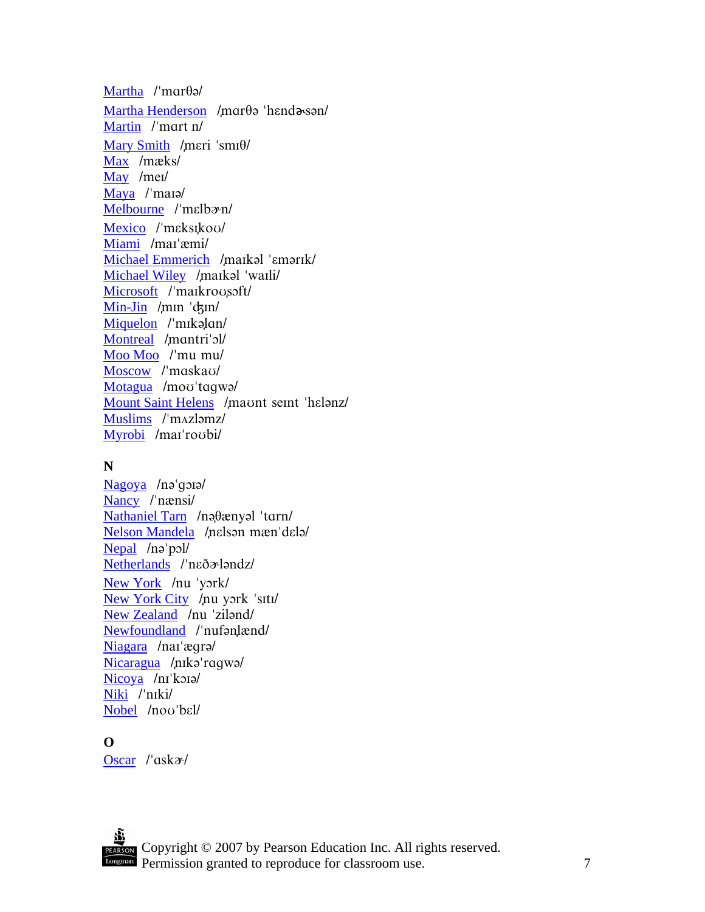[Martha](http://www.tnpronunciator.com/index.php?level=3&word=Martha&tnp_submit=Search) /'mαrθə/ [Martha Henderson](http://www.tnpronunciator.com/index.php?level=3&word=Martha%20Henderson&tnp_submit=Search) /marθ = 'hend a son/ [Martin](http://www.tnpronunciator.com/index.php?level=3&word=Martin&tnp_submit=Search) /'mart n/ [Mary Smith](http://www.tnpronunciator.com/index.php?level=3&word=Mary%20Smith&tnp_submit=Search) / $m$ eri 'smI $\theta$ / [Max](http://www.tnpronunciator.com/index.php?level=3&word=Max&tnp_submit=Search) /mæks/ [May](http://www.tnpronunciator.com/index.php?level=3&word=May&tnp_submit=Search) /me<sub>I</sub>/ [Maya](http://www.tnpronunciator.com/index.php?level=3&word=Maya&tnp_submit=Search) /'maia/ [Melbourne](http://www.tnpronunciator.com/index.php?level=3&word=Melbourne&tnp_submit=Search) /'mɛlban/ [Mexico](http://www.tnpronunciator.com/index.php?level=3&word=Mexico&tnp_submit=Search) /'mɛksɪkoʊ/ [Miami](http://www.tnpronunciator.com/index.php?level=3&word=Miami&tnp_submit=Search) /mai'æmi/ [Michael Emmerich](http://www.tnpronunciator.com/index.php?level=3&word=Michael%20Emmerich&tnp_submit=Search) / markal 'emarrk/ [Michael Wiley](http://www.tnpronunciator.com/index.php?level=3&word=Michael%20Wiley&tnp_submit=Search) /markal 'warli/ [Microsoft](http://www.tnpronunciator.com/index.php?level=3&word=Microsoft&tnp_submit=Search) /'markrousoft/  $Min$ -Jin / $min$   $\frac{d}{d}$ [Miquelon](http://www.tnpronunciator.com/index.php?level=3&word=Miquelon&tnp_submit=Search) /'mikalan/ [Montreal](http://www.tnpronunciator.com/index.php?level=3&word=Montreal&tnp_submit=Search) /mantri'ol/ [Moo Moo](http://www.tnpronunciator.com/index.php?level=3&word=Moo%20Moo&tnp_submit=Search) /"mu mu/ [Moscow](http://www.tnpronunciator.com/index.php?level=3&word=Moscow&tnp_submit=Search) /'maskau/ [Motagua](http://www.tnpronunciator.com/index.php?level=3&word=Motagua&tnp_submit=Search) /moo'tagwa/ [Mount Saint Helens](http://www.tnpronunciator.com/index.php?level=3&word=Mount%20Saint%20Helens&tnp_submit=Search) / maunt seint 'helenz/ [Muslims](http://www.tnpronunciator.com/index.php?level=3&word=Muslims&tnp_submit=Search) /'m<sub>AZl</sub>amz/ [Myrobi](http://www.tnpronunciator.com/index.php?level=3&word=Myrobi&tnp_submit=Search) /mai'roubi/

### **N**

[Nagoya](http://www.tnpronunciator.com/index.php?level=3&word=Nagoya&tnp_submit=Search) /nə'qoiə/ [Nancy](http://www.tnpronunciator.com/index.php?level=3&word=Nancy&tnp_submit=Search) /'nænsi/ [Nathaniel Tarn](http://www.tnpronunciator.com/index.php?level=3&word=Nathaniel%20Tarn&tnp_submit=Search) /nəθænyəl 'tarn/ [Nelson Mandela](http://www.tnpronunciator.com/index.php?level=3&word=Nelson%20Mandela&tnp_submit=Search) /nɛlsən mæn'dɛlə/ [Nepal](http://www.tnpronunciator.com/index.php?level=3&word=Nepal&tnp_submit=Search) /nə'pol/ [Netherlands](http://www.tnpronunciator.com/index.php?level=3&word=Netherlands&tnp_submit=Search) /'nɛðə·ləndz/ [New York](http://www.tnpronunciator.com/index.php?level=3&word=New%20York&tnp_submit=Search) /nu 'york/ [New York City](http://www.tnpronunciator.com/index.php?level=3&word=New%20York%20City&tnp_submit=Search) /nu york 'siti/ [New Zealand](http://www.tnpronunciator.com/index.php?level=3&word=New%20Zealand&tnp_submit=Search) /nu 'zilənd/ [Newfoundland](http://www.tnpronunciator.com/index.php?level=3&word=Newfoundland&tnp_submit=Search) /'nufanlænd/ [Niagara](http://www.tnpronunciator.com/index.php?level=3&word=Niagara&tnp_submit=Search) /nai'æqrə/ [Nicaragua](http://www.tnpronunciator.com/index.php?level=3&word=Nicaragua&tnp_submit=Search) /nika ragwa/ [Nicoya](http://www.tnpronunciator.com/index.php?level=3&word=Nicoya&tnp_submit=Search) /nI'koIa/ [Niki](http://www.tnpronunciator.com/index.php?level=3&word=Niki&tnp_submit=Search) /"nIki/ [Nobel](http://www.tnpronunciator.com/index.php?level=3&word=Nobel&tnp_submit=Search) /nov'bel/

# **O**

[Oscar](http://www.tnpronunciator.com/index.php?level=3&word=Oscar&tnp_submit=Search) /'askav/

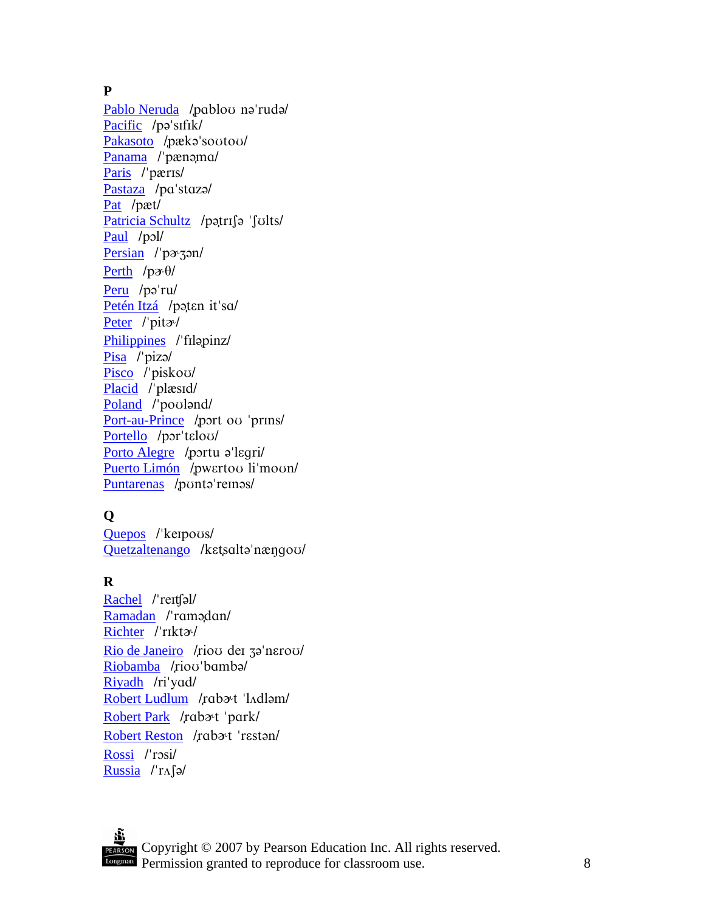#### **P**

[Pablo Neruda](http://www.tnpronunciator.com/index.php?level=3&word=Pablo%20Neruda&tnp_submit=Search) /pablou na'ruda/ [Pacific](http://www.tnpronunciator.com/index.php?level=3&word=Pacific&tnp_submit=Search) /pə'sıfık/ [Pakasoto](http://www.tnpronunciator.com/index.php?level=3&word=Pakasoto&tnp_submit=Search) /pæka'soutou/ [Panama](http://www.tnpronunciator.com/index.php?level=3&word=Panama&tnp_submit=Search) /'pænama/ [Paris](http://www.tnpronunciator.com/index.php?level=3&word=Paris&tnp_submit=Search) /'pæris/ [Pastaza](http://www.tnpronunciator.com/index.php?level=3&word=Pastaza&tnp_submit=Search) /pa'staza/ [Pat](http://www.tnpronunciator.com/index.php?level=3&word=Pat&tnp_submit=Search) /pæt/ [Patricia Schultz](http://www.tnpronunciator.com/index.php?level=3&word=Patricia%20Schultz&tnp_submit=Search) /potriso 'fults/ [Paul](http://www.tnpronunciator.com/index.php?level=3&word=Paul&tnp_submit=Search) /pol/ [Persian](http://www.tnpronunciator.com/index.php?level=3&word=Persian&tnp_submit=Search) /'pa<sub>3</sub>an/ [Perth](http://www.tnpronunciator.com/index.php?level=3&word=Perth&tnp_submit=Search)  $/pv\theta$ [Peru](http://www.tnpronunciator.com/index.php?level=3&word=Peru&tnp_submit=Search) /pə'ru/ [Petén Itzá](http://www.tnpronunciator.com/index.php?level=3&word=Peten%20Itza&tnp_submit=Search) /poten it'sa/ [Peter](http://www.tnpronunciator.com/index.php?level=3&word=Peter&tnp_submit=Search) /'pita/ [Philippines](http://www.tnpronunciator.com/index.php?level=3&word=Philippines&tnp_submit=Search) /'filapinz/ [Pisa](http://www.tnpronunciator.com/index.php?level=3&word=Pisa&tnp_submit=Search) /'pizə/ [Pisco](http://www.tnpronunciator.com/index.php?level=3&word=Pisco&tnp_submit=Search) /'piskou/  $Placi<sub>d</sub>$  /'plæsid/ [Poland](http://www.tnpronunciator.com/index.php?level=3&word=Poland&tnp_submit=Search) /'pouland/ [Port-au-Prince](http://www.tnpronunciator.com/index.php?level=3&word=Port-au-Prince&tnp_submit=Search) /port ou 'prins/ [Portello](http://www.tnpronunciator.com/index.php?level=3&word=Portello&tnp_submit=Search) /por'telou/ [Porto Alegre](http://www.tnpronunciator.com/index.php?level=3&word=Porto%20Alegre&tnp_submit=Search) / portu a legri/ [Puerto Limón](http://www.tnpronunciator.com/index.php?level=3&word=Puerto%20Limon&tnp_submit=Search) /pwertou li'moun/ [Puntarenas](http://www.tnpronunciator.com/index.php?level=3&word=Puntarenas&tnp_submit=Search) /ponta reinas/

# **Q**

[Quepos](http://www.tnpronunciator.com/index.php?level=3&word=Quepos&tnp_submit=Search) /'keipous/ [Quetzaltenango](http://www.tnpronunciator.com/index.php?level=3&word=Quetzaltenango&tnp_submit=Search) /ketsalta nængou/

# **R**

[Rachel](http://www.tnpronunciator.com/index.php?level=3&word=Rachel&tnp_submit=Search) /'reitfəl/ [Ramadan](http://www.tnpronunciator.com/index.php?level=3&word=Ramadan&tnp_submit=Search) /'ramadan/ [Richter](http://www.tnpronunciator.com/index.php?level=3&word=Richter&tnp_submit=Search) /'rɪktə/ [Rio de Janeiro](http://www.tnpronunciator.com/index.php?level=3&word=Rio%20de%20Janeiro&tnp_submit=Search) / riou dei 3<sup>o</sup> nerou/ [Riobamba](http://www.tnpronunciator.com/index.php?level=3&word=Riobamba&tnp_submit=Search) /riou'bamba/ [Riyadh](http://www.tnpronunciator.com/index.php?level=3&word=Riyadh&tnp_submit=Search) /ri'yad/ [Robert Ludlum](http://www.tnpronunciator.com/index.php?level=3&word=Robert%20Ludlum&tnp_submit=Search) /rabat 'lAdlam/ [Robert Park](http://www.tnpronunciator.com/index.php?level=3&word=Robert%20Park&tnp_submit=Search) /rabat 'park/ [Robert Reston](http://www.tnpronunciator.com/index.php?level=3&word=Robert%20Reston&tnp_submit=Search) /rab<sup>2t</sup> 'restan/ [Rossi](http://www.tnpronunciator.com/index.php?level=3&word=Rossi&tnp_submit=Search) /'rosi/ [Russia](http://www.tnpronunciator.com/index.php?level=3&word=Russia&tnp_submit=Search)  $/\text{rA}$ [ə/

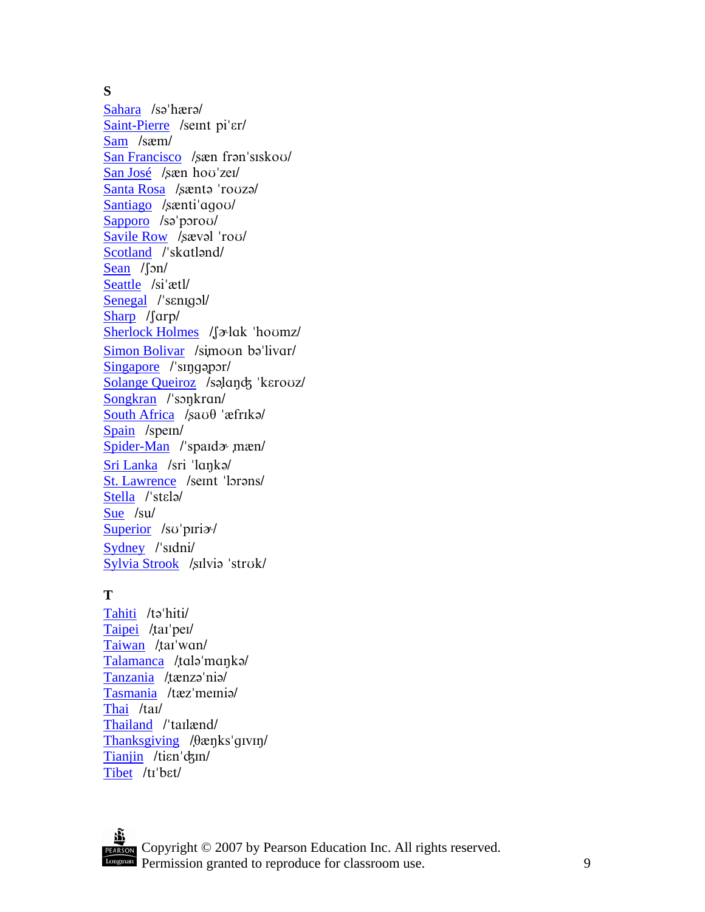#### **S**

[Sahara](http://www.tnpronunciator.com/index.php?level=3&word=Sahara&tnp_submit=Search) /sə'hærə/ [Saint-Pierre](http://www.tnpronunciator.com/index.php?level=3&word=Saint-Pierre&tnp_submit=Search) /seint pi'er/ [Sam](http://www.tnpronunciator.com/index.php?level=3&word=Sam&tnp_submit=Search) /sæm/ [San Francisco](http://www.tnpronunciator.com/index.php?level=3&word=San%20Francisco&tnp_submit=Search) / sæn fran 'sIskou/ [San José](http://www.tnpronunciator.com/index.php?level=3&word=San%20Jose&tnp_submit=Search) /sæn hou'zei/ [Santa Rosa](http://www.tnpronunciator.com/index.php?level=3&word=Santa%20Rosa&tnp_submit=Search) / sænta 'rouza/ [Santiago](http://www.tnpronunciator.com/index.php?level=3&word=Santiago&tnp_submit=Search) / sænti 'aqou [Sapporo](http://www.tnpronunciator.com/index.php?level=3&word=Sapporo&tnp_submit=Search) /sə'porou/ [Savile Row](http://www.tnpronunciator.com/index.php?level=3&word=Savile%20Row&tnp_submit=Search) /sævəl 'rou/ [Scotland](http://www.tnpronunciator.com/index.php?level=3&word=Scotland&tnp_submit=Search) /'skatland/  $Sean$  /sn/ [Seattle](http://www.tnpronunciator.com/index.php?level=3&word=Seattle&tnp_submit=Search) /si'ætl/ [Senegal](http://www.tnpronunciator.com/index.php?level=3&word=Senegal&tnp_submit=Search) /'senigol/  $Sharp$  / $\int$ arp/ [Sherlock Holmes](http://www.tnpronunciator.com/index.php?level=3&word=Sherlock%20Holmes&tnp_submit=Search) / [avlak 'houmz/ [Simon Bolivar](http://www.tnpronunciator.com/index.php?level=3&word=Simon%20Bolivar&tnp_submit=Search) / simoun ba'livar/  $Singapore$  /'singapor/ [Solange Queiroz](http://www.tnpronunciator.com/index.php?level=3&word=Solange%20Queiroz&tnp_submit=Search) /səlandz 'kerouz/  $Songkran$  /'sonkran/ [South Africa](http://www.tnpronunciator.com/index.php?level=3&word=South%20Africa&tnp_submit=Search)  $/sa\theta$  'æfrika/ [Spain](http://www.tnpronunciator.com/index.php?level=3&word=Spain&tnp_submit=Search) /spein/ [Spider-Man](http://www.tnpronunciator.com/index.php?level=3&word=Spider-Man&tnp_submit=Search) /'spaid $x$  mæn/ [Sri Lanka](http://www.tnpronunciator.com/index.php?level=3&word=Sri%20Lanka&tnp_submit=Search) /sri 'lanka/ [St. Lawrence](http://www.tnpronunciator.com/index.php?level=3&word=St.%20Lawrence&tnp_submit=Search) /seint 'lorans/ [Stella](http://www.tnpronunciator.com/index.php?level=3&word=Stella&tnp_submit=Search) /'stelə/ [Sue](http://www.tnpronunciator.com/index.php?level=3&word=Sue&tnp_submit=Search) /su/ [Superior](http://www.tnpronunciator.com/index.php?level=3&word=Superior&tnp_submit=Search)  $/s\sigma'$ piri $\sigma'$ [Sydney](http://www.tnpronunciator.com/index.php?level=3&word=Sydney&tnp_submit=Search) /"sIdni/ [Sylvia Strook](http://www.tnpronunciator.com/index.php?level=3&word=Sylvia%20Strook&tnp_submit=Search) / silvia 'strok/

#### **T**

[Tahiti](http://www.tnpronunciator.com/index.php?level=3&word=Tahiti&tnp_submit=Search) /ta'hiti/ [Taipei](http://www.tnpronunciator.com/index.php?level=3&word=Taipei&tnp_submit=Search) /tai/pei/ [Taiwan](http://www.tnpronunciator.com/index.php?level=3&word=Taiwan&tnp_submit=Search) /taiwan/ [Talamanca](http://www.tnpronunciator.com/index.php?level=3&word=Talamanca&tnp_submit=Search) /tala/manka/ [Tanzania](http://www.tnpronunciator.com/index.php?level=3&word=Tanzania&tnp_submit=Search) /tænzə niə/ [Tasmania](http://www.tnpronunciator.com/index.php?level=3&word=Tasmania&tnp_submit=Search) /tæz'memia/ [Thai](http://www.tnpronunciator.com/index.php?level=3&word=Thai&tnp_submit=Search) /tai/ [Thailand](http://www.tnpronunciator.com/index.php?level=3&word=Thailand&tnp_submit=Search) /'tailænd/  $\frac{Thanksgiving}{\theta$  $\frac{Thanksgiving}{\theta$  $\frac{Thanksgiving}{\theta$ ænks'givin [Tianjin](http://www.tnpronunciator.com/index.php?level=3&word=Tianjin&tnp_submit=Search) /tien'dzin/ [Tibet](http://www.tnpronunciator.com/index.php?level=3&word=Tibet&tnp_submit=Search) /tI"bEt/